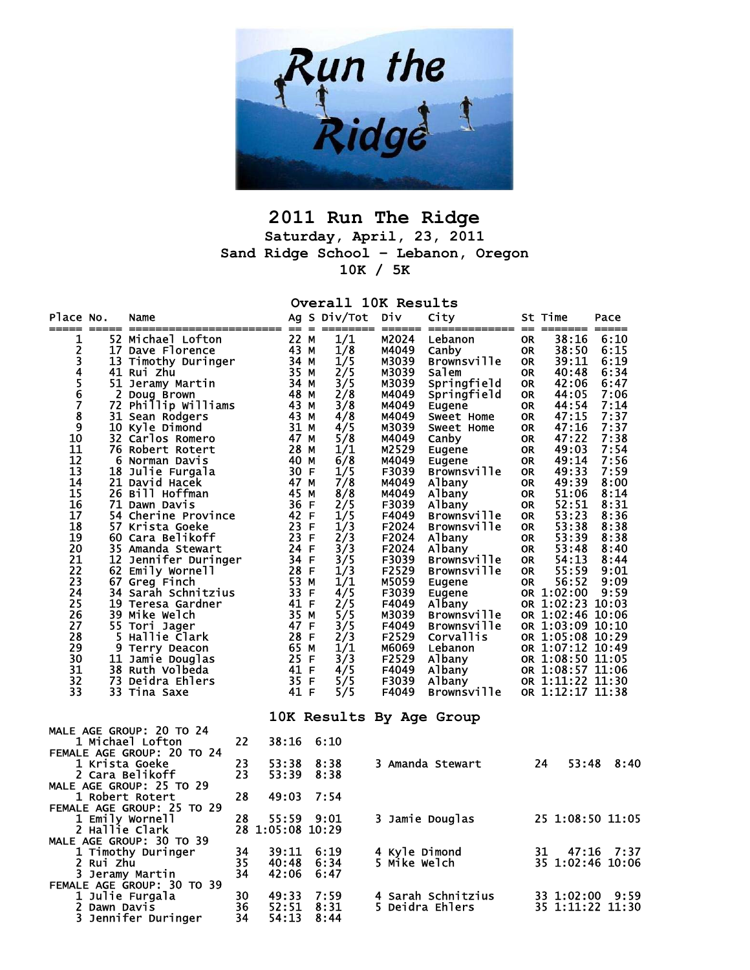

## **2011 Run The Ridge Saturday, April, 23, 2011 Sand Ridge School – Lebanon, Oregon 10K / 5K**

**Overall 10K Results** 

| Place No.                  |              | Name                                          |          |                  | Ag S Div/Tot         | Div                           | City<br>======= == ==        |                        | St Time          | Pace<br>=== ===== |
|----------------------------|--------------|-----------------------------------------------|----------|------------------|----------------------|-------------------------------|------------------------------|------------------------|------------------|-------------------|
| 1                          |              | 52 Michael Lofton                             |          | 22 M             | 1/1                  | M2024                         | Lebanon                      | <b>OR</b>              | 38:16            | 6:10              |
|                            |              | 17 Dave Florence                              |          | 43 M             | 1/8                  | M4049                         | Canby                        | <b>OR</b>              | 38:50            | 6:15              |
| 2345678                    |              | 13 Timothy Duringer                           |          | 34 M             | 1/5                  | M3039                         | <b>Brownsville</b>           | <b>OR</b>              | 39:11            | 6:19              |
|                            |              | 41 Rui Zhu                                    |          | 35 M             | 2/5                  | M3039                         | salem                        | <b>OR</b>              | 40:48            | 6:34              |
|                            |              | 51 Jeramy Martin                              |          | 34 M             | 3/5                  | M3039                         | Springfield                  | <b>OR</b>              | 42:06            | 6:47              |
|                            |              | 2 Doug Brown                                  |          | 48 M             | 2/8                  | M4049                         | Springfield                  | <b>OR</b>              | 44:05            | 7:06              |
|                            |              | 72 Phillip Williams                           |          | 43 M             | 3/8                  | M4049                         | Eugene                       | <b>OR</b>              | 44:54            | 7:14              |
|                            |              | 31 Sean Rodgers                               |          | 43 M             | 4/8                  | M4049                         | Sweet Home                   | <b>OR</b>              | 47:15            | 7:37              |
| $\overline{9}$             |              | 10 Kyle Dimond                                |          | 31 M             | 4/5                  | M3039                         | Sweet Home                   | <b>OR</b>              | 47:16            | 7:37              |
| 10                         |              | 32 Carlos Romero                              |          | 47 M             | 5/8                  | M4049                         | Canby                        | <b>OR</b>              | 47:22            | 7:38              |
| 11                         |              | 76 Robert Rotert                              |          | 28 M             | 1/1                  | M2529                         | Eugene                       | <b>OR</b>              | 49:03            | 7:54              |
| $\overline{12}$            |              | 6 Norman Davis                                |          | 40 M             | 6/8                  | M4049                         | Eugene                       | <b>OR</b>              | 49:14            | 7:56              |
| 13                         |              | 18 Julie Furgala                              |          | 30 F             | 1/5                  | F3039                         | Brownsville                  | <b>OR</b>              | 49:33            | 7:59              |
| 14<br>15                   |              | 21 David Hacek                                |          | 47 M             | 7/8                  | M4049                         | Albany                       | <b>OR</b>              | 49:39            | 8:00              |
| 16                         |              | 26 Bill Hoffman<br>71 Dawn Davis              |          | 45 M<br>36 F     | 8/8<br>2/5           | M4049<br>F3039                | Albany                       | <b>OR</b><br><b>OR</b> | 51:06<br>52:51   | 8:14<br>8:31      |
| $\overline{17}$            |              | <b>54 Cherine Province</b>                    |          | 42 F             | 1/5                  | F4049                         | Albany<br><b>Brownsville</b> | <b>OR</b>              | 53:23            | 8:36              |
| 18                         |              | 57 Krista Goeke                               |          | 23 F             | 1/3                  | F2024                         | <b>Brownsville</b>           | <b>OR</b>              | 53:38            | 8:38              |
| $\overline{19}$            |              | 60 Cara Belikoff                              |          | 23 F             | 2/3                  | F2024                         | Albany                       | <b>OR</b>              | 53:39            | 8:38              |
| 20                         |              | 35 Amanda Stewart                             |          | 24 F             | 3/3                  | F2024                         | Albany                       | <b>OR</b>              | 53:48            | 8:40              |
| 21                         |              | 12 Jennifer Duringer                          |          | 34 F             | 3/5                  | F3039                         | <b>Brownsville</b>           | 0R                     | 54:13            | 8:44              |
| $\overline{2}\overline{2}$ |              | 62 Emily Wornell                              |          | 28 F             | 1/3                  | F2529                         | <b>Brownsville</b>           | <b>OR</b>              | 55:59            | 9:01              |
| 23                         |              | 67 Greg Finch                                 |          | 53 M             | 1/1                  | M5059                         | Eugene                       | <b>OR</b>              | 56:52            | 9:09              |
| 24                         |              | 34 Sarah Schnitzius                           |          | 33 F             | 4/5                  | F3039                         | Eugene                       |                        | OR 1:02:00       | 9:59              |
| $\overline{25}$            |              | 19 Teresa Gardner                             |          | 41 F             | 2/5                  | F4049                         | Albany                       |                        | OR 1:02:23 10:03 |                   |
| 26                         |              | <b>39 Mike Welch</b>                          |          | 35 M             | 5/5                  | M3039                         | <b>Brownsville</b>           |                        | OR 1:02:46 10:06 |                   |
| 27                         |              | 55 Tori Jager                                 |          | 47 F             | $\frac{3}{2}$<br>2/3 | F4049                         | <b>Brownsville</b>           |                        | OR 1:03:09 10:10 |                   |
| 28                         |              | 5 Hallie Clark                                |          | 28 F             |                      | F2529                         | <b>Corvallis</b>             |                        | OR 1:05:08 10:29 |                   |
| 29                         |              | 9 Terry Deacon                                |          | 65 M             | 1/1                  | м6069                         | Lebanon                      |                        | OR 1:07:12 10:49 |                   |
| 30                         |              | 11 Jamie Douglas                              |          | 25 F             | 3/3                  | F2529                         | Albany                       |                        | OR 1:08:50 11:05 |                   |
| 31                         |              | 38 Ruth Volbeda                               |          | 41 F             | 4/5                  | F4049                         | Albany                       |                        | OR 1:08:57 11:06 |                   |
| 32                         |              | 73 Deidra Ehlers                              |          | 35 F             | 5/5                  | F3039                         | Albany                       |                        | OR 1:11:22 11:30 |                   |
| 33                         |              | 33 Tina Saxe                                  |          | 41 F             | 5/5                  | F4049                         | <b>Brownsville</b>           |                        | OR 1:12:17 11:38 |                   |
|                            |              |                                               |          |                  |                      |                               | 10K Results By Age Group     |                        |                  |                   |
|                            |              | MALE AGE GROUP: 20 TO 24                      |          |                  |                      |                               |                              |                        |                  |                   |
|                            |              | 1 Michael Lofton                              | 22       | 38:16            | 6:10                 |                               |                              |                        |                  |                   |
|                            |              | FEMALE AGE GROUP: 20 TO 24                    |          |                  |                      |                               |                              |                        |                  |                   |
|                            |              | 1 Krista Goeke                                | 23       | 53:38            | 8:38                 |                               | 3 Amanda Stewart             |                        | 24<br>53:48      | 8:40              |
|                            |              | 2 Cara Belikoff                               | 23       | 53:39            | 8:38                 |                               |                              |                        |                  |                   |
|                            |              | MALE AGE GROUP: 25 TO 29                      |          |                  |                      |                               |                              |                        |                  |                   |
|                            |              | 1 Robert Rotert                               | 28       | 49:03            | 7:54                 |                               |                              |                        |                  |                   |
|                            |              | FEMALE AGE GROUP: 25 TO 29                    |          |                  |                      |                               |                              |                        |                  |                   |
|                            |              | 1 Emily Wornell                               | 28       | 55:59            | 9:01                 |                               | 3 Jamie Douglas              |                        |                  | 25 1:08:50 11:05  |
|                            |              | 2 Hallie Clark                                |          | 28 1:05:08 10:29 |                      |                               |                              |                        |                  |                   |
|                            |              | MALE AGE GROUP: 30 TO 39                      |          |                  |                      |                               |                              |                        |                  |                   |
|                            |              | 1 Timothy Duringer                            | 34       | 39:11            | 6:19                 | 4 Kyle Dimond<br>5 Mike Welch |                              |                        | 31<br>47:16      | 7:37              |
|                            | 2 Rui Zhu    |                                               | 35<br>34 | 40:48            | 6:34                 |                               |                              |                        |                  | 35 1:02:46 10:06  |
|                            |              | 3 Jeramy Martin<br>FEMALE AGE GROUP: 30 TO 39 |          | 42:06            | 6:47                 |                               |                              |                        |                  |                   |
|                            |              | 1 Julie Furgala                               | 30       | 49:33            | 7:59                 |                               | 4 Sarah Schnitzius           |                        | 33 1:02:00       | 9:59              |
|                            | 2 Dawn Davis |                                               | 36       | 52:51            | 8:31                 |                               | 5 Deidra Ehlers              |                        |                  | 35 1:11:22 11:30  |
|                            |              | 3 Jennifer Duringer                           | 34       | 54:13            | 8:44                 |                               |                              |                        |                  |                   |
|                            |              |                                               |          |                  |                      |                               |                              |                        |                  |                   |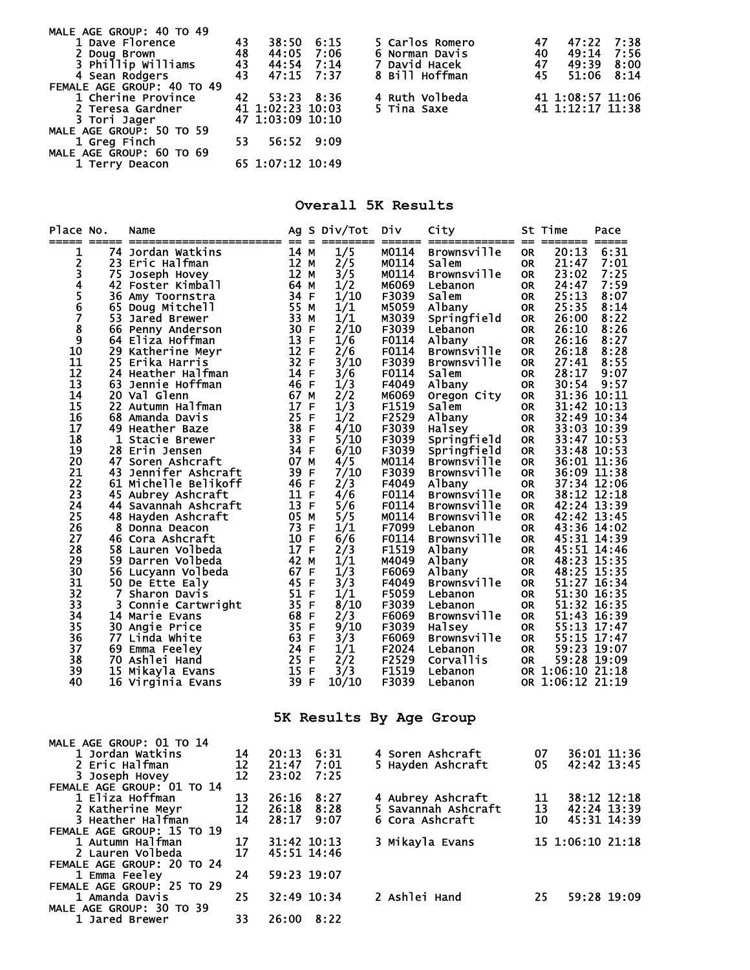| MALE AGE GROUP: 40 TO 49   |    |                  |            |                 |    |                  |      |
|----------------------------|----|------------------|------------|-----------------|----|------------------|------|
| 1 Dave Florence            | 43 | 38:50            | 6:15       | 5 Carlos Romero | 47 | 47:22            | 7:38 |
| 2 Doug Brown               | 48 | 44:05            | 7:06       | 6 Norman Davis  | 40 | 49:14 7:56       |      |
| 3 Phillip Williams         | 43 | 44:54            | 7:14       | David Hacek     | 47 | 49:39            | 8:00 |
| 4 Sean Rodgers             | 43 | 47:15 7:37       |            | 8 Bill Hoffman  | 45 | 51:06            | 8:14 |
| FEMALE AGE GROUP: 40 TO 49 |    |                  |            |                 |    |                  |      |
| 1 Cherine Province         | 42 | 53:23            | 8:36       | 4 Ruth Volbeda  |    | 41 1:08:57 11:06 |      |
| 2 Teresa Gardner           |    | 41 1:02:23 10:03 |            | 5 Tina Saxe     |    | 41 1:12:17 11:38 |      |
| 3 Tori Jager               |    | 47 1:03:09 10:10 |            |                 |    |                  |      |
| MALE AGE GROUP: 50 TO 59   |    |                  |            |                 |    |                  |      |
| 1 Greg Finch               | 53 |                  | 56:52 9:09 |                 |    |                  |      |
| MALE AGE GROUP: 60 TO 69   |    |                  |            |                 |    |                  |      |
| 1 Terry Deacon             |    | 65 1:07:12 10:49 |            |                 |    |                  |      |

## **Overall 5K Results**

| Place No.<br>===== | $\qquad \qquad \overline{\qquad \qquad }=$ | Name                                         |          | $= 2$        | Ag S Div/Tot<br>======== | Div<br>======  | City                    |                        | St Time<br>======= | Pace                       |
|--------------------|--------------------------------------------|----------------------------------------------|----------|--------------|--------------------------|----------------|-------------------------|------------------------|--------------------|----------------------------|
| 1                  |                                            | 74 Jordan Watkins                            |          | 14 M         | 1/5                      | M0114          | Brownsville             | <b>OR</b>              | 20:13              | 6:31                       |
| 2                  |                                            | 23 Eric Halfman                              |          | 12 M         | 2/5                      | M0114          | Salem                   | <b>OR</b>              | 21:47              | 7:01                       |
| 34567              | 75                                         | Joseph Hovey                                 |          | 12 M         | 3/5                      | M0114          | Brownsville             | <b>OR</b>              | 23:02              | 7:25                       |
|                    |                                            | 42 Foster Kimball<br>36 Amy Toornstra        |          | 64 M<br>34 F | 1/2<br>1/10              | M6069<br>F3039 | Lebanon<br>Salem        | <b>OR</b><br><b>OR</b> | 24:47<br>25:13     | 7:59<br>8:07               |
|                    |                                            | 65 Doug Mitchell                             |          | 55 M         | 1/1                      | M5059          | Albany                  | <b>OR</b>              | 25:35              | 8:14                       |
|                    |                                            | 53 Jared Brewer                              |          | 33 M         | 1/1                      | M3039          | Springfield             | <b>OR</b>              | 26:00              | 8:22                       |
| $\bar{8}$          |                                            | 66 Penny Anderson                            |          | 30 F         | 2/10                     | F3039          | Lebanon                 | <b>OR</b>              | 26:10              | 8:26                       |
| 9                  |                                            | 64 Eliza Hoffman                             |          | 13 F         | 1/6                      | F0114          | Albany                  | <b>OR</b>              | 26:16              | 8:27                       |
| 10                 |                                            | 29 Katherine Meyr                            |          | 12 F         | 2/6                      | F0114          | <b>Brownsville</b>      | <b>OR</b>              | 26:18              | 8:28                       |
| 11                 |                                            | 25 Erika Harris                              |          | 32 F         | 3/10                     | F3039          | <b>Brownsville</b>      | <b>OR</b>              | 27:41              | 8:55                       |
| 12                 |                                            | 24 Heather Halfman                           |          | 14 F         | 3/6                      | F0114          | Salem                   | <b>OR</b>              | 28:17              | 9:07                       |
| 13                 |                                            | 63 Jennie Hoffman                            |          | 46 F         | 1/3                      | F4049          | Albany                  | <b>OR</b>              | 30:54              | 9:57                       |
| 14                 |                                            | 20 Val Glenn                                 |          | 67 M         | 2/2                      | M6069          | Oregon City             | <b>OR</b>              |                    | 31:36 10:11                |
| 15<br>16           |                                            | 22 Autumn Halfman<br>68 Amanda Davis         |          | 17 F<br>25 F | 1/3<br>1/2               | F1519<br>F2529 | salem<br>Albany         | <b>OR</b><br><b>OR</b> |                    | 31:42 10:13<br>32:49 10:34 |
| 17                 |                                            | 49 Heather Baze                              |          | 38 F         | 4/10                     | F3039          | Halsey                  | <b>OR</b>              |                    | 33:03 10:39                |
| 18                 |                                            | 1 Stacie Brewer                              |          | 33 F         | 5/10                     | F3039          | Springfield             | <b>OR</b>              |                    | 33:47 10:53                |
| 19                 |                                            | 28 Erin Jensen                               |          | 34 F         | 6/10                     | F3039          | Springfield             | <b>OR</b>              |                    | 33:48 10:53                |
| 20                 |                                            | 47 Soren Ashcraft                            |          | 07 M         | 4/5                      | M0114          | <b>Brownsville</b>      | <b>OR</b>              |                    | 36:01 11:36                |
| 21                 |                                            | 43 Jennifer Ashcraft                         |          | 39 F         | 7/10                     | F3039          | <b>Brownsville</b>      | <b>OR</b>              |                    | 36:09 11:38                |
| 22                 |                                            | 61 Michelle Belikoff                         |          | 46 F         | 2/3                      | F4049          | Albany                  | <b>OR</b>              |                    | 37:34 12:06                |
| 23                 |                                            | 45 Aubrey Ashcraft                           |          | 11 F         | 4/6                      | F0114          | <b>Brownsville</b>      | <b>OR</b>              |                    | 38:12 12:18                |
| 24                 |                                            | 44 Savannah Ashcraft                         |          | 13 F         | 5/6                      | F0114          | Brownsville             | <b>OR</b>              |                    | 42:24 13:39                |
| 25<br>26           |                                            | 48 Hayden Ashcraft<br>8 Donna Deacon         |          | 05 M<br>73 F | 5/5<br>1/1               | M0114<br>F7099 | Brownsville<br>Lebanon  | <b>OR</b><br><b>OR</b> |                    | 42:42 13:45<br>43:36 14:02 |
| 27                 |                                            | 46 Cora Ashcraft                             |          | 10 F         | 6/6                      | F0114          | Brownsville             | <b>OR</b>              |                    | 45:31 14:39                |
| 28                 |                                            | 58 Lauren Volbeda                            |          | 17 F         | 2/3                      | F1519          | Albany                  | <b>OR</b>              |                    | 45:51 14:46                |
| 29                 |                                            | 59 Darren Volbeda                            |          | 42 M         | 1/1                      | M4049          | Albany                  | <b>OR</b>              |                    | 48:23 15:35                |
| 30                 |                                            | 56 Lucyann Volbeda                           |          | 67 F         | 1/3                      | F6069          | Albany                  | <b>OR</b>              |                    | 48:25 15:35                |
| 31                 |                                            | 50 De Ette Ealy                              |          | 45 F         | 3/3                      | F4049          | <b>Brownsville</b>      | <b>OR</b>              |                    | 51:27 16:34                |
| 32                 | 7 <sup>7</sup>                             | Sharon Davis                                 |          | 51 F         | 1/1                      | F5059          | Lebanon                 | <b>OR</b>              |                    | 51:30 16:35                |
| 33                 |                                            | 3 Connie Cartwright                          |          | 35 F         | 8/10                     | F3039          | Lebanon                 | <b>OR</b>              |                    | 51:32 16:35                |
| 34<br>35           |                                            | 14 Marie Evans                               |          | 68 F<br>35 F | 2/3<br>9/10              | F6069          | <b>Brownsville</b>      | <b>OR</b>              |                    | 51:43 16:39<br>55:13 17:47 |
| 36                 |                                            | 30 Angie Price<br>77 Linda White             |          | 63 F         | 3/3                      | F3039<br>F6069 | Halsey<br>Brownsville   | <b>OR</b><br><b>OR</b> |                    | 55:15 17:47                |
| 37                 |                                            | 69 Emma Feeley                               |          | 24 F         | 1/1                      | F2024          | Lebanon                 | <b>OR</b>              |                    | 59:23 19:07                |
| 38                 |                                            | 70 Ashlei Hand                               |          | 25 F         | 2/2                      | F2529          | Corvallis               | <b>OR</b>              |                    | 59:28 19:09                |
| 39                 |                                            | 15 Mikayla Evans                             |          | 15 F         | 3/3                      | F1519          | Lebanon                 |                        | OR 1:06:10 21:18   |                            |
| 40                 |                                            | 16 Virginia Evans                            |          | 39 F         | 10/10                    | F3039          | Lebanon                 |                        | OR 1:06:12 21:19   |                            |
|                    |                                            |                                              |          |              |                          |                | 5K Results By Age Group |                        |                    |                            |
|                    |                                            |                                              |          |              |                          |                |                         |                        |                    |                            |
|                    |                                            | <b>MALE AGE GROUP: 01 TO 14</b>              |          |              |                          |                |                         |                        |                    |                            |
|                    |                                            | 1 Jordan Watkins                             | 14       | 20:13        | 6:31                     |                | 4 Soren Ashcraft        |                        | 07                 | 36:01 11:36                |
|                    |                                            | 2 Eric Halfman                               | 12<br>12 | 21:47        | 7:01<br>7:25             |                | 5 Hayden Ashcraft       |                        | 05                 | 42:42 13:45                |
|                    |                                            | 3 Joseph Hovey<br>FEMALE AGE GROUP: 01 TO 14 |          | 23:02        |                          |                |                         |                        |                    |                            |
|                    |                                            | 1 Eliza Hoffman                              | 13       | 26:16        | 8:27                     |                | 4 Aubrey Ashcraft       |                        | 11                 | 38:12 12:18                |
|                    |                                            | 2 Katherine Meyr                             | 12       | 26:18        | 8:28                     |                | 5 Savannah Ashcraft     |                        | 13                 | 42:24 13:39                |
|                    |                                            | 3 Heather Halfman                            | 14       | 28:17        | 9:07                     |                | 6 Cora Ashcraft         |                        | 10                 | 45:31 14:39                |
|                    |                                            | <b>FEMALE AGE GROUP: 15 TO 19</b>            |          |              |                          |                |                         |                        |                    |                            |
|                    |                                            | 1 Autumn Halfman                             | 17       | 31:42 10:13  |                          |                | 3 Mikayla Evans         |                        |                    | 15 1:06:10 21:18           |
|                    |                                            | 2 Lauren Volbeda                             | 17       | 45:51 14:46  |                          |                |                         |                        |                    |                            |
|                    |                                            | FEMALE AGE GROUP: 20 TO 24                   |          |              |                          |                |                         |                        |                    |                            |
|                    | 1 Emma Feeley                              |                                              | 24       | 59:23 19:07  |                          |                |                         |                        |                    |                            |
|                    |                                            | FEMALE AGE GROUP: 25 TO 29<br>1 Amanda Davis | 25       | 32:49 10:34  |                          | 2 Ashlei Hand  |                         |                        | 25                 | 59:28 19:09                |
|                    |                                            | MALE AGE GROUP: 30 TO 39                     |          |              |                          |                |                         |                        |                    |                            |

1 Jared Brewer 33 26:00 8:22